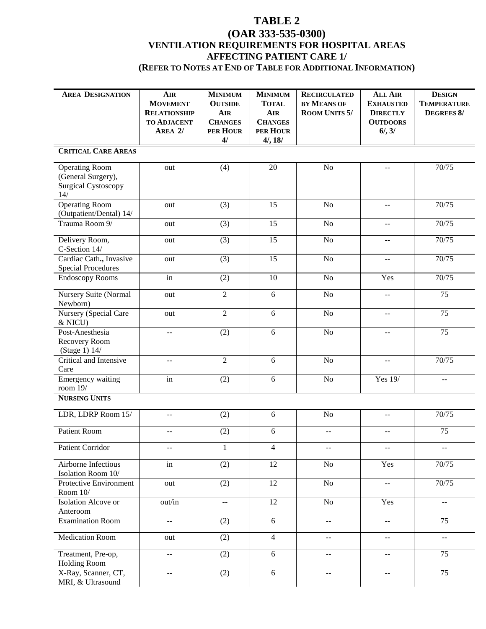## **TABLE 2**

## **(OAR 333-535-0300) VENTILATION REQUIREMENTS FOR HOSPITAL AREAS AFFECTING PATIENT CARE 1/ (REFER TO NOTES AT END OF TABLE FOR ADDITIONAL INFORMATION)**

| <b>AREA DESIGNATION</b>                              | <b>AIR</b><br><b>MOVEMENT</b>                 | <b>MINIMUM</b><br><b>OUTSIDE</b>              | <b>MINIMUM</b><br><b>TOTAL</b> | <b>RECIRCULATED</b><br>BY MEANS OF            | <b>ALL AIR</b><br><b>EXHAUSTED</b>            | <b>DESIGN</b><br><b>TEMPERATURE</b>           |  |  |
|------------------------------------------------------|-----------------------------------------------|-----------------------------------------------|--------------------------------|-----------------------------------------------|-----------------------------------------------|-----------------------------------------------|--|--|
|                                                      | <b>RELATIONSHIP</b>                           | <b>AIR</b>                                    | <b>AIR</b>                     | <b>ROOM UNITS 5/</b>                          | <b>DIRECTLY</b>                               | <b>DEGREES 8/</b>                             |  |  |
|                                                      | <b>TO ADJACENT</b><br>AREA 2/                 | <b>CHANGES</b><br>PER HOUR                    | <b>CHANGES</b><br>PER HOUR     |                                               | <b>OUTDOORS</b><br>$6/$ , $3/$                |                                               |  |  |
|                                                      |                                               | 4/                                            | 4/, 18/                        |                                               |                                               |                                               |  |  |
| <b>CRITICAL CARE AREAS</b>                           |                                               |                                               |                                |                                               |                                               |                                               |  |  |
| <b>Operating Room</b>                                | out                                           | (4)                                           | 20                             | N <sub>o</sub>                                | $\overline{a}$                                | 70/75                                         |  |  |
| (General Surgery),<br><b>Surgical Cystoscopy</b>     |                                               |                                               |                                |                                               |                                               |                                               |  |  |
| 14/                                                  |                                               |                                               |                                |                                               |                                               |                                               |  |  |
| <b>Operating Room</b>                                | out                                           | (3)                                           | 15                             | $\rm No$                                      | $- -$                                         | 70/75                                         |  |  |
| (Outpatient/Dental) 14/<br>Trauma Room 9/            |                                               |                                               | 15                             | No                                            |                                               |                                               |  |  |
|                                                      | out                                           | (3)                                           |                                |                                               | $- -$                                         | 70/75                                         |  |  |
| Delivery Room,                                       | out                                           | (3)                                           | 15                             | N <sub>o</sub>                                | $\overline{a}$                                | 70/75                                         |  |  |
| C-Section 14/                                        |                                               |                                               | 15                             | $\rm No$                                      |                                               | 70/75                                         |  |  |
| Cardiac Cath., Invasive<br><b>Special Procedures</b> | out                                           | (3)                                           |                                |                                               | $\mathord{\hspace{1pt}\text{--}\hspace{1pt}}$ |                                               |  |  |
| <b>Endoscopy Rooms</b>                               | in                                            | (2)                                           | 10                             | $\rm No$                                      | Yes                                           | 70/75                                         |  |  |
| <b>Nursery Suite (Normal</b>                         | out                                           | $\mathbf{2}$                                  | 6                              | $\rm No$                                      | $- -$                                         | 75                                            |  |  |
| Newborn)                                             |                                               |                                               |                                |                                               |                                               |                                               |  |  |
| Nursery (Special Care<br>& NICU)                     | out                                           | $\overline{2}$                                | 6                              | $\overline{No}$                               | --                                            | $\overline{75}$                               |  |  |
| Post-Anesthesia                                      | $\sim$ $\sim$                                 | (2)                                           | 6                              | $\rm No$                                      | --                                            | 75                                            |  |  |
| Recovery Room<br>(Stage 1) 14/                       |                                               |                                               |                                |                                               |                                               |                                               |  |  |
| Critical and Intensive                               | $\mathbf{u}$                                  | $\overline{2}$                                | 6                              | No                                            | --                                            | 70/75                                         |  |  |
| Care                                                 |                                               |                                               | 6                              | $\rm No$                                      | Yes 19/                                       |                                               |  |  |
| Emergency waiting<br>room $19/$                      | in                                            | (2)                                           |                                |                                               |                                               | --                                            |  |  |
| <b>NURSING UNITS</b>                                 |                                               |                                               |                                |                                               |                                               |                                               |  |  |
| LDR, LDRP Room 15/                                   | $-$                                           | (2)                                           | 6                              | $\rm No$                                      | --                                            | 70/75                                         |  |  |
|                                                      |                                               |                                               |                                |                                               |                                               |                                               |  |  |
| <b>Patient Room</b>                                  | $-$                                           | (2)                                           | 6                              | $-$                                           | $\overline{a}$                                | 75                                            |  |  |
| Patient Corridor                                     | $\mathord{\hspace{1pt}\text{--}\hspace{1pt}}$ | $\mathbf{1}$                                  | $\overline{4}$                 | $\mathord{\hspace{1pt}\text{--}\hspace{1pt}}$ | $- -$                                         | $\mathord{\hspace{1pt}\text{--}\hspace{1pt}}$ |  |  |
| Airborne Infectious                                  | in                                            | (2)                                           | 12                             | $\rm No$                                      | Yes                                           | 70/75                                         |  |  |
| Isolation Room 10/<br>Protective Environment         | out                                           | (2)                                           | 12                             | $\rm No$                                      | $\mathord{\hspace{1pt}\text{--}\hspace{1pt}}$ | 70/75                                         |  |  |
| Room $10/$                                           |                                               |                                               |                                |                                               |                                               |                                               |  |  |
| Isolation Alcove or                                  | out/in                                        | $\mathord{\hspace{1pt}\text{--}\hspace{1pt}}$ | 12                             | $\rm No$                                      | Yes                                           | $\mathord{\hspace{1pt}\text{--}\hspace{1pt}}$ |  |  |
| Anteroom                                             |                                               |                                               |                                |                                               |                                               |                                               |  |  |
| <b>Examination Room</b>                              | $\sim$ $\sim$                                 | (2)                                           | 6                              | $-$                                           | $\mathord{\hspace{1pt}\text{--}\hspace{1pt}}$ | 75                                            |  |  |
| <b>Medication Room</b>                               | out                                           | (2)                                           | $\overline{4}$                 | $-$                                           | $- -$                                         | $\overline{\phantom{a}}$                      |  |  |
| Treatment, Pre-op,                                   | $\mathord{\hspace{1pt}\text{--}\hspace{1pt}}$ | (2)                                           | 6                              | $\mathord{\hspace{1pt}\text{--}\hspace{1pt}}$ | $\mathcal{L} = \mathcal{L}$                   | 75                                            |  |  |
| <b>Holding Room</b>                                  |                                               |                                               |                                |                                               |                                               |                                               |  |  |
| X-Ray, Scanner, CT,<br>MRI, & Ultrasound             | $\mathord{\hspace{1pt}\text{--}\hspace{1pt}}$ | (2)                                           | $6\,$                          | $\overline{\phantom{m}}$                      | $\mathord{\hspace{1pt}\text{--}\hspace{1pt}}$ | 75                                            |  |  |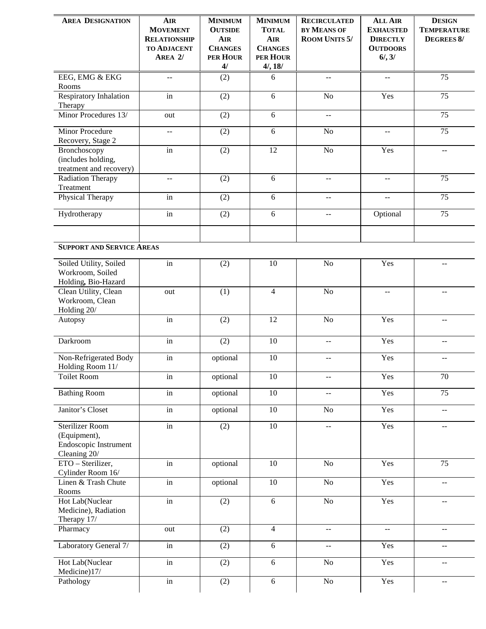| <b>AREA DESIGNATION</b>                                                         | <b>AIR</b><br><b>MOVEMENT</b><br><b>RELATIONSHIP</b><br><b>TO ADJACENT</b><br>AREA 2/ | <b>MINIMUM</b><br><b>OUTSIDE</b><br><b>AIR</b><br><b>CHANGES</b><br><b>PER HOUR</b><br>4/ | <b>MINIMUM</b><br><b>TOTAL</b><br><b>AIR</b><br><b>CHANGES</b><br>PER HOUR<br>4/, 18/ | <b>RECIRCULATED</b><br>BY MEANS OF<br><b>ROOM UNITS 5/</b> | <b>ALL AIR</b><br><b>EXHAUSTED</b><br><b>DIRECTLY</b><br><b>OUTDOORS</b><br>$6/$ , $3/$ | <b>DESIGN</b><br><b>TEMPERATURE</b><br><b>DEGREES 8/</b> |
|---------------------------------------------------------------------------------|---------------------------------------------------------------------------------------|-------------------------------------------------------------------------------------------|---------------------------------------------------------------------------------------|------------------------------------------------------------|-----------------------------------------------------------------------------------------|----------------------------------------------------------|
| EEG, EMG & EKG                                                                  | $\mathord{\hspace{1pt}\text{--}\hspace{1pt}}$                                         | (2)                                                                                       | 6                                                                                     | $\mathord{\hspace{1pt}\text{--}\hspace{1pt}}$              | $\overline{\phantom{m}}$                                                                | 75                                                       |
| Rooms<br><b>Respiratory Inhalation</b><br>Therapy                               | in                                                                                    | (2)                                                                                       | 6                                                                                     | N <sub>o</sub>                                             | Yes                                                                                     | 75                                                       |
| Minor Procedures 13/                                                            | out                                                                                   | (2)                                                                                       | 6                                                                                     | $\mathord{\hspace{1pt}\text{--}\hspace{1pt}}$              |                                                                                         | 75                                                       |
| Minor Procedure<br>Recovery, Stage 2                                            | $\overline{a}$                                                                        | (2)                                                                                       | $6\,$                                                                                 | N <sub>o</sub>                                             | --                                                                                      | $\overline{75}$                                          |
| Bronchoscopy<br>(includes holding,<br>treatment and recovery)                   | $\operatorname{in}$                                                                   | (2)                                                                                       | 12                                                                                    | N <sub>o</sub>                                             | Yes                                                                                     | $\overline{a}$                                           |
| <b>Radiation Therapy</b><br>Treatment                                           | $\overline{\phantom{a}}$                                                              | (2)                                                                                       | 6                                                                                     | $\mathord{\hspace{1pt}\text{--}\hspace{1pt}}$              | --                                                                                      | 75                                                       |
| Physical Therapy                                                                | in                                                                                    | (2)                                                                                       | 6                                                                                     | $-$                                                        | --                                                                                      | 75                                                       |
| Hydrotherapy                                                                    | in                                                                                    | (2)                                                                                       | $6\,$                                                                                 | $-$                                                        | Optional                                                                                | 75                                                       |
| <b>SUPPORT AND SERVICE AREAS</b>                                                |                                                                                       |                                                                                           |                                                                                       |                                                            |                                                                                         |                                                          |
| Soiled Utility, Soiled<br>Workroom, Soiled<br>Holding, Bio-Hazard               | in                                                                                    | (2)                                                                                       | 10                                                                                    | N <sub>o</sub>                                             | Yes                                                                                     | $-$                                                      |
| Clean Utility, Clean<br>Workroom, Clean<br>Holding 20/                          | out                                                                                   | (1)                                                                                       | $\overline{4}$                                                                        | N <sub>o</sub>                                             | $\overline{a}$                                                                          | $\sim$ $\sim$                                            |
| Autopsy                                                                         | $\operatorname{in}$                                                                   | (2)                                                                                       | 12                                                                                    | N <sub>o</sub>                                             | Yes                                                                                     | $\mathord{\hspace{1pt}\text{--}\hspace{1pt}}$            |
| Darkroom                                                                        | in                                                                                    | (2)                                                                                       | 10                                                                                    | $\overline{a}$                                             | Yes                                                                                     | $\overline{a}$                                           |
| Non-Refrigerated Body<br>Holding Room 11/                                       | $\operatorname{in}$                                                                   | optional                                                                                  | 10                                                                                    | $-$                                                        | Yes                                                                                     | $\mathord{\hspace{1pt}\text{--}\hspace{1pt}}$            |
| Toilet Room                                                                     | in                                                                                    | optional                                                                                  | 10                                                                                    | $-\, -$                                                    | Yes                                                                                     | 70                                                       |
| <b>Bathing Room</b>                                                             | in                                                                                    | optional                                                                                  | 10                                                                                    | $-$                                                        | Yes                                                                                     | $\overline{75}$                                          |
| Janitor's Closet                                                                | in                                                                                    | optional                                                                                  | 10                                                                                    | N <sub>o</sub>                                             | Yes                                                                                     | $\sim$ $\sim$                                            |
| <b>Sterilizer Room</b><br>(Equipment),<br>Endoscopic Instrument<br>Cleaning 20/ | in                                                                                    | (2)                                                                                       | $\overline{10}$                                                                       | $\mathbf{u}$                                               | Yes                                                                                     | $\overline{a}$                                           |
| ETO - Sterilizer,<br>Cylinder Room 16/                                          | in                                                                                    | optional                                                                                  | 10                                                                                    | N <sub>o</sub>                                             | Yes                                                                                     | 75                                                       |
| Linen & Trash Chute<br>Rooms                                                    | in                                                                                    | optional                                                                                  | 10                                                                                    | No                                                         | Yes                                                                                     | $\mathbb{H}^{\mathbb{H}}$                                |
| Hot Lab(Nuclear<br>Medicine), Radiation<br>Therapy 17/                          | in                                                                                    | (2)                                                                                       | 6                                                                                     | ${\rm No}$                                                 | Yes                                                                                     | $\mathord{\hspace{1pt}\text{--}\hspace{1pt}}$            |
| Pharmacy                                                                        | out                                                                                   | (2)                                                                                       | $\overline{4}$                                                                        | $\overline{\phantom{a}}$                                   | $\overline{\phantom{a}}$                                                                | $\mathord{\hspace{1pt}\text{--}\hspace{1pt}}$            |
| Laboratory General 7/                                                           | in                                                                                    | (2)                                                                                       | 6                                                                                     | $-$                                                        | Yes                                                                                     | $\mathord{\hspace{1pt}\text{--}\hspace{1pt}}$            |
| Hot Lab(Nuclear<br>Medicine)17/                                                 | $\operatorname{in}$                                                                   | (2)                                                                                       | $6\,$                                                                                 | N <sub>o</sub>                                             | Yes                                                                                     | $\mathord{\hspace{1pt}\text{--}\hspace{1pt}}$            |
| Pathology                                                                       | in                                                                                    | (2)                                                                                       | $6\,$                                                                                 | N <sub>o</sub>                                             | Yes                                                                                     | $\mathord{\hspace{1pt}\text{--}\hspace{1pt}}$            |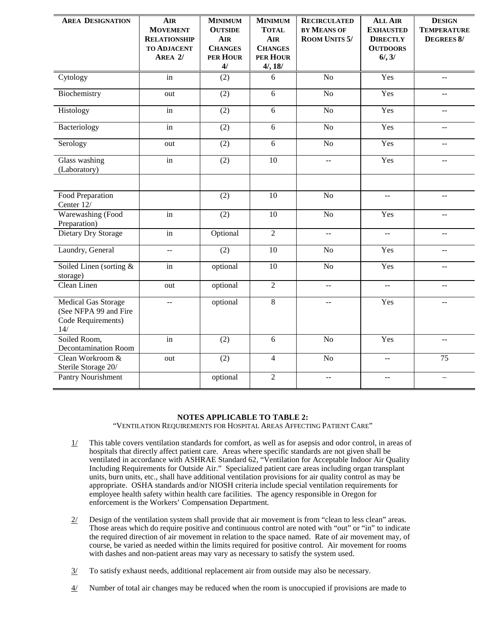| <b>AREA DESIGNATION</b>                                                          | <b>AIR</b><br><b>MOVEMENT</b><br><b>RELATIONSHIP</b><br><b>TO ADJACENT</b><br>AREA 2/ | <b>MINIMUM</b><br><b>OUTSIDE</b><br><b>AIR</b><br><b>CHANGES</b><br>PER HOUR<br>4/ | <b>MINIMUM</b><br><b>TOTAL</b><br><b>AIR</b><br><b>CHANGES</b><br>PER HOUR<br>4/, 18/ | <b>RECIRCULATED</b><br><b>BY MEANS OF</b><br><b>ROOM UNITS 5/</b> | <b>ALL AIR</b><br><b>EXHAUSTED</b><br><b>DIRECTLY</b><br><b>OUTDOORS</b><br>$6/$ , $3/$ | <b>DESIGN</b><br><b>TEMPERATURE</b><br><b>DEGREES 8/</b> |
|----------------------------------------------------------------------------------|---------------------------------------------------------------------------------------|------------------------------------------------------------------------------------|---------------------------------------------------------------------------------------|-------------------------------------------------------------------|-----------------------------------------------------------------------------------------|----------------------------------------------------------|
| Cytology                                                                         | in                                                                                    | (2)                                                                                | 6                                                                                     | $\overline{No}$                                                   | Yes                                                                                     | $\mathord{\hspace{1pt}\text{--}\hspace{1pt}}$            |
| Biochemistry                                                                     | out                                                                                   | (2)                                                                                | 6                                                                                     | $\overline{No}$                                                   | Yes                                                                                     | $\mathbf{u}$                                             |
| Histology                                                                        | in                                                                                    | (2)                                                                                | $\overline{6}$                                                                        | No                                                                | Yes                                                                                     | $\overline{a}$                                           |
| Bacteriology                                                                     | in                                                                                    | (2)                                                                                | 6                                                                                     | N <sub>o</sub>                                                    | Yes                                                                                     | $-$                                                      |
| Serology                                                                         | out                                                                                   | (2)                                                                                | 6                                                                                     | No                                                                | Yes                                                                                     | $-$                                                      |
| Glass washing<br>(Laboratory)                                                    | in                                                                                    | (2)                                                                                | $\overline{10}$                                                                       |                                                                   | Yes                                                                                     |                                                          |
| Food Preparation<br>Center 12/                                                   |                                                                                       | (2)                                                                                | 10                                                                                    | N <sub>o</sub>                                                    | $\mathord{\hspace{1pt}\text{--}\hspace{1pt}}$                                           | $\mathord{\hspace{1pt}\text{--}\hspace{1pt}}$            |
| Warewashing (Food<br>Preparation)                                                | in                                                                                    | (2)                                                                                | $\overline{10}$                                                                       | $\overline{No}$                                                   | Yes                                                                                     | $\mathord{\hspace{1pt}\text{--}\hspace{1pt}}$            |
| Dietary Dry Storage                                                              | in                                                                                    | Optional                                                                           | $\overline{2}$                                                                        | $\overline{\phantom{a}}$                                          | $\mathbb{L}^{\perp}$                                                                    | $\mathbb{L} \mathbb{L}$                                  |
| Laundry, General                                                                 | $\overline{a}$                                                                        | (2)                                                                                | $\overline{10}$                                                                       | No                                                                | Yes                                                                                     | $\overline{\phantom{a}}$                                 |
| Soiled Linen (sorting &<br>storage)                                              | in                                                                                    | optional                                                                           | 10                                                                                    | No                                                                | Yes                                                                                     | $\overline{a}$                                           |
| Clean Linen                                                                      | out                                                                                   | optional                                                                           | $\overline{2}$                                                                        | L.                                                                | $\overline{a}$                                                                          | $-$                                                      |
| <b>Medical Gas Storage</b><br>(See NFPA 99 and Fire<br>Code Requirements)<br>14/ | $\mathbb{H} \to \mathbb{H}$                                                           | optional                                                                           | $\overline{8}$                                                                        | $\overline{\phantom{m}}$                                          | Yes                                                                                     | $\overline{a}$                                           |
| Soiled Room,<br><b>Decontamination Room</b>                                      | in                                                                                    | (2)                                                                                | 6                                                                                     | N <sub>o</sub>                                                    | Yes                                                                                     | $\overline{a}$                                           |
| Clean Workroom &<br>Sterile Storage 20/                                          | out                                                                                   | (2)                                                                                | $\overline{4}$                                                                        | No                                                                | $\overline{a}$                                                                          | 75                                                       |
| Pantry Nourishment                                                               |                                                                                       | optional                                                                           | $\overline{2}$                                                                        | $\hspace{0.05cm}$ $\hspace{0.05cm}$                               | $\mathord{\hspace{1pt}\text{--}\hspace{1pt}}$                                           | $\overline{\phantom{m}}$                                 |

## **NOTES APPLICABLE TO TABLE 2:**

"VENTILATION REQUIREMENTS FOR HOSPITAL AREAS AFFECTING PATIENT CARE"

- $1/$  This table covers ventilation standards for comfort, as well as for asepsis and odor control, in areas of hospitals that directly affect patient care. Areas where specific standards are not given shall be ventilated in accordance with ASHRAE Standard 62, "Ventilation for Acceptable Indoor Air Quality Including Requirements for Outside Air." Specialized patient care areas including organ transplant units, burn units, etc., shall have additional ventilation provisions for air quality control as may be appropriate. OSHA standards and/or NIOSH criteria include special ventilation requirements for employee health safety within health care facilities. The agency responsible in Oregon for enforcement is the Workers' Compensation Department.
- $2/$  Design of the ventilation system shall provide that air movement is from "clean to less clean" areas. Those areas which do require positive and continuous control are noted with "out" or "in" to indicate the required direction of air movement in relation to the space named. Rate of air movement may, of course, be varied as needed within the limits required for positive control. Air movement for rooms with dashes and non-patient areas may vary as necessary to satisfy the system used.
- $3/$  To satisfy exhaust needs, additional replacement air from outside may also be necessary.
- $\frac{4}{}{}$  Number of total air changes may be reduced when the room is unoccupied if provisions are made to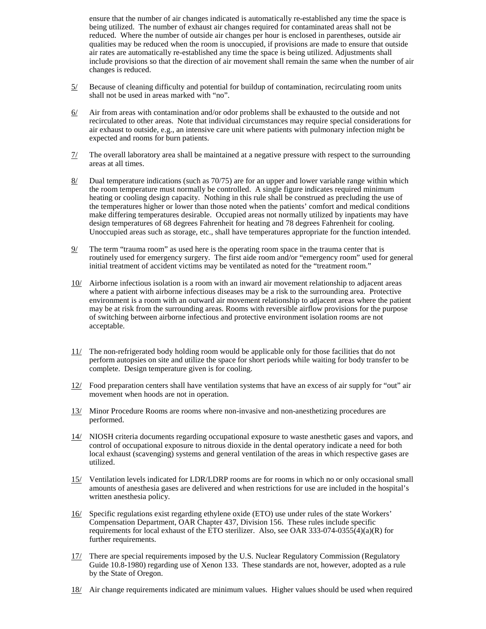ensure that the number of air changes indicated is automatically re-established any time the space is being utilized. The number of exhaust air changes required for contaminated areas shall not be reduced. Where the number of outside air changes per hour is enclosed in parentheses, outside air qualities may be reduced when the room is unoccupied, if provisions are made to ensure that outside air rates are automatically re-established any time the space is being utilized. Adjustments shall include provisions so that the direction of air movement shall remain the same when the number of air changes is reduced.

- $5/$  Because of cleaning difficulty and potential for buildup of contamination, recirculating room units shall not be used in areas marked with "no".
- $6/$  Air from areas with contamination and/or odor problems shall be exhausted to the outside and not recirculated to other areas. Note that individual circumstances may require special considerations for air exhaust to outside, e.g., an intensive care unit where patients with pulmonary infection might be expected and rooms for burn patients.
- $\frac{7}{1}$  The overall laboratory area shall be maintained at a negative pressure with respect to the surrounding areas at all times.
- 8/ Dual temperature indications (such as 70/75) are for an upper and lower variable range within which the room temperature must normally be controlled. A single figure indicates required minimum heating or cooling design capacity. Nothing in this rule shall be construed as precluding the use of the temperatures higher or lower than those noted when the patients' comfort and medical conditions make differing temperatures desirable. Occupied areas not normally utilized by inpatients may have design temperatures of 68 degrees Fahrenheit for heating and 78 degrees Fahrenheit for cooling. Unoccupied areas such as storage, etc., shall have temperatures appropriate for the function intended.
- $9/$  The term "trauma room" as used here is the operating room space in the trauma center that is routinely used for emergency surgery. The first aide room and/or "emergency room" used for general initial treatment of accident victims may be ventilated as noted for the "treatment room."
- 10/ Airborne infectious isolation is a room with an inward air movement relationship to adjacent areas where a patient with airborne infectious diseases may be a risk to the surrounding area. Protective environment is a room with an outward air movement relationship to adjacent areas where the patient may be at risk from the surrounding areas. Rooms with reversible airflow provisions for the purpose of switching between airborne infectious and protective environment isolation rooms are not acceptable.
- 11/ The non-refrigerated body holding room would be applicable only for those facilities that do not perform autopsies on site and utilize the space for short periods while waiting for body transfer to be complete. Design temperature given is for cooling.
- 12/ Food preparation centers shall have ventilation systems that have an excess of air supply for "out" air movement when hoods are not in operation.
- 13/ Minor Procedure Rooms are rooms where non-invasive and non-anesthetizing procedures are performed.
- 14/ NIOSH criteria documents regarding occupational exposure to waste anesthetic gases and vapors, and control of occupational exposure to nitrous dioxide in the dental operatory indicate a need for both local exhaust (scavenging) systems and general ventilation of the areas in which respective gases are utilized.
- 15/ Ventilation levels indicated for LDR/LDRP rooms are for rooms in which no or only occasional small amounts of anesthesia gases are delivered and when restrictions for use are included in the hospital's written anesthesia policy.
- 16/ Specific regulations exist regarding ethylene oxide (ETO) use under rules of the state Workers' Compensation Department, OAR Chapter 437, Division 156. These rules include specific requirements for local exhaust of the ETO sterilizer. Also, see OAR 333-074-0355(4)(a)(R) for further requirements.
- 17/ There are special requirements imposed by the U.S. Nuclear Regulatory Commission (Regulatory Guide 10.8-1980) regarding use of Xenon 133. These standards are not, however, adopted as a rule by the State of Oregon.
- $18/$  Air change requirements indicated are minimum values. Higher values should be used when required